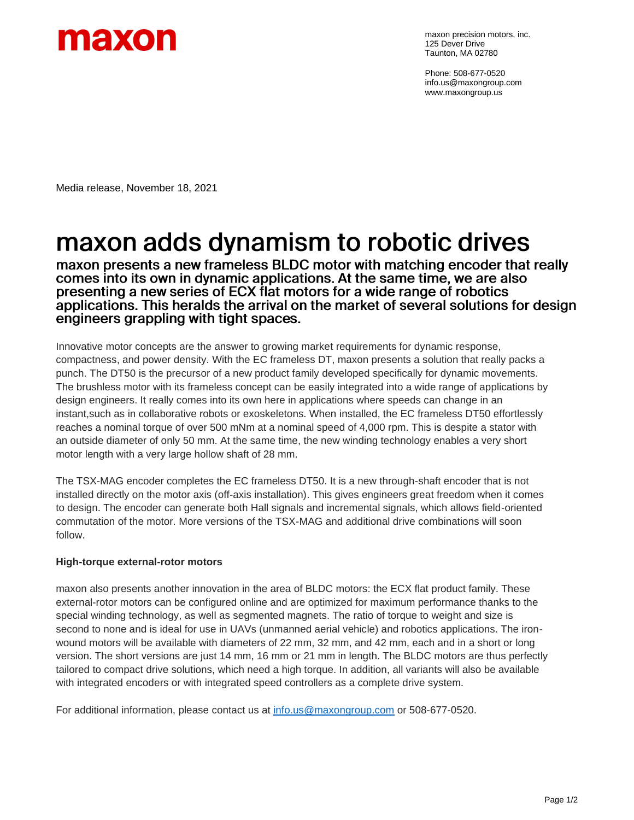

maxon precision motors, inc. 125 Dever Drive Taunton, MA 02780

Phone: 508-677-0520 info.us@maxongroup.com www.maxongroup.us

Media release, November 18, 2021

## maxon adds dynamism to robotic drives

maxon presents a new frameless BLDC motor with matching encoder that really comes into its own in dynamic applications. At the same time, we are also presenting a new series of ECX flat motors for a wide range of robotics applications. This heralds the arrival on the market of several solutions for design engineers grappling with tight spaces.

Innovative motor concepts are the answer to growing market requirements for dynamic response, compactness, and power density. With the EC frameless DT, maxon presents a solution that really packs a punch. The DT50 is the precursor of a new product family developed specifically for dynamic movements. The brushless motor with its frameless concept can be easily integrated into a wide range of applications by design engineers. It really comes into its own here in applications where speeds can change in an instant,such as in collaborative robots or exoskeletons. When installed, the EC frameless DT50 effortlessly reaches a nominal torque of over 500 mNm at a nominal speed of 4,000 rpm. This is despite a stator with an outside diameter of only 50 mm. At the same time, the new winding technology enables a very short motor length with a very large hollow shaft of 28 mm.

The TSX-MAG encoder completes the EC frameless DT50. It is a new through-shaft encoder that is not installed directly on the motor axis (off-axis installation). This gives engineers great freedom when it comes to design. The encoder can generate both Hall signals and incremental signals, which allows field-oriented commutation of the motor. More versions of the TSX-MAG and additional drive combinations will soon follow.

## **High-torque external-rotor motors**

maxon also presents another innovation in the area of BLDC motors: the ECX flat product family. These external-rotor motors can be configured online and are optimized for maximum performance thanks to the special winding technology, as well as segmented magnets. The ratio of torque to weight and size is second to none and is ideal for use in UAVs (unmanned aerial vehicle) and robotics applications. The ironwound motors will be available with diameters of 22 mm, 32 mm, and 42 mm, each and in a short or long version. The short versions are just 14 mm, 16 mm or 21 mm in length. The BLDC motors are thus perfectly tailored to compact drive solutions, which need a high torque. In addition, all variants will also be available with integrated encoders or with integrated speed controllers as a complete drive system.

For additional information, please contact us at [info.us@maxongroup.com](mailto:info.us@maxongroup.com) or 508-677-0520.